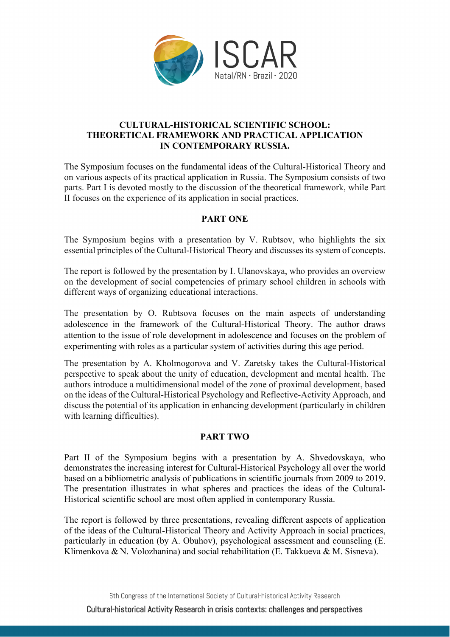

# **CULTURAL-HISTORICAL SCIENTIFIC SCHOOL: THEORETICAL FRAMEWORK AND PRACTICAL APPLICATION IN CONTEMPORARY RUSSIA.**

The Symposium focuses on the fundamental ideas of the Cultural-Historical Theory and on various aspects of its practical application in Russia. The Symposium consists of two parts. Part I is devoted mostly to the discussion of the theoretical framework, while Part II focuses on the experience of its application in social practices.

# **PART ONE**

The Symposium begins with a presentation by V. Rubtsov, who highlights the six essential principles of the Cultural-Historical Theory and discusses its system of concepts.

The report is followed by the presentation by I. Ulanovskaya, who provides an overview on the development of social competencies of primary school children in schools with different ways of organizing educational interactions.

The presentation by O. Rubtsova focuses on the main aspects of understanding adolescence in the framework of the Cultural-Historical Theory. The author draws attention to the issue of role development in adolescence and focuses on the problem of experimenting with roles as a particular system of activities during this age period.

The presentation by A. Kholmogorova and V. Zaretsky takes the Cultural-Historical perspective to speak about the unity of education, development and mental health. The authors introduce a multidimensional model of the zone of proximal development, based on the ideas of the Cultural-Historical Psychology and Reflective-Activity Approach, and discuss the potential of its application in enhancing development (particularly in children with learning difficulties).

# **PART TWO**

Part II of the Symposium begins with a presentation by A. Shvedovskaya, who demonstrates the increasing interest for Cultural-Historical Psychology all over the world based on a bibliometric analysis of publications in scientific journals from 2009 to 2019. The presentation illustrates in what spheres and practices the ideas of the Cultural-Historical scientific school are most often applied in contemporary Russia.

The report is followed by three presentations, revealing different aspects of application of the ideas of the Cultural-Historical Theory and Activity Approach in social practices, particularly in education (by A. Obuhov), psychological assessment and counseling (E. Klimenkova & N. Volozhanina) and social rehabilitation (E. Takkueva & M. Sisneva).

6th Congress of the International Society of Cultural-historical Activity Research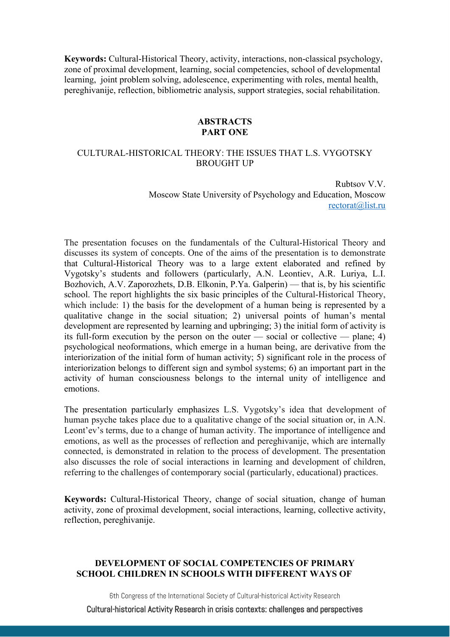**Keywords:** Cultural-Historical Theory, activity, interactions, non-classical psychology, zone of proximal development, learning, social competencies, school of developmental learning, joint problem solving, adolescence, experimenting with roles, mental health, pereghivanije, reflection, bibliometric analysis, support strategies, social rehabilitation.

#### **ABSTRACTS PART ONE**

### CULTURAL-HISTORICAL THEORY: THE ISSUES THAT L.S. VYGOTSKY BROUGHT UP

Rubtsov V.V. Moscow State University of Psychology and Education, Moscow rectorat@list.ru

The presentation focuses on the fundamentals of the Cultural-Historical Theory and discusses its system of concepts. One of the aims of the presentation is to demonstrate that Cultural-Historical Theory was to a large extent elaborated and refined by Vygotsky's students and followers (particularly, A.N. Leontiev, A.R. Luriya, L.I. Bozhovich, A.V. Zaporozhets, D.B. Elkonin, P.Ya. Galperin) — that is, by his scientific school. The report highlights the six basic principles of the Cultural-Historical Theory, which include: 1) the basis for the development of a human being is represented by a qualitative change in the social situation; 2) universal points of human's mental development are represented by learning and upbringing; 3) the initial form of activity is its full-form execution by the person on the outer — social or collective — plane; 4) psychological neoformations, which emerge in a human being, are derivative from the interiorization of the initial form of human activity; 5) significant role in the process of interiorization belongs to different sign and symbol systems; 6) an important part in the activity of human consciousness belongs to the internal unity of intelligence and emotions.

The presentation particularly emphasizes L.S. Vygotsky's idea that development of human psyche takes place due to a qualitative change of the social situation or, in A.N. Leont'ev's terms, due to a change of human activity. The importance of intelligence and emotions, as well as the processes of reflection and pereghivanije, which are internally connected, is demonstrated in relation to the process of development. The presentation also discusses the role of social interactions in learning and development of children, referring to the challenges of contemporary social (particularly, educational) practices.

**Keywords:** Cultural-Historical Theory, change of social situation, change of human activity, zone of proximal development, social interactions, learning, collective activity, reflection, pereghivanije.

# **DEVELOPMENT OF SOCIAL COMPETENCIES OF PRIMARY SCHOOL CHILDREN IN SCHOOLS WITH DIFFERENT WAYS OF**

6th Congress of the International Society of Cultural-historical Activity Research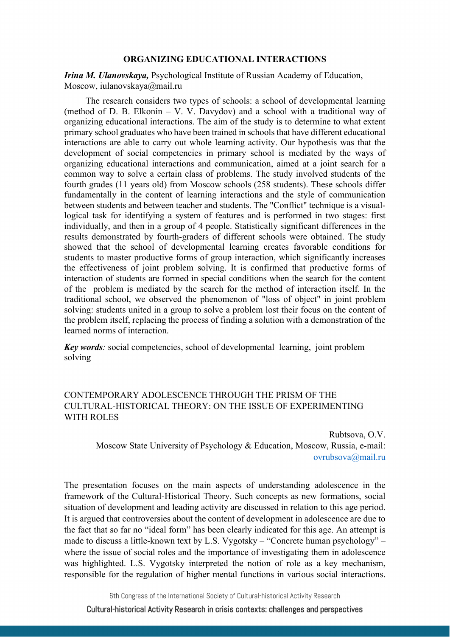#### **ORGANIZING EDUCATIONAL INTERACTIONS**

*Irina M. Ulanovskaya,* Psychological Institute of Russian Academy of Education, Moscow, iulanovskaya@mail.ru

The research considers two types of schools: a school of developmental learning (method of D. B. Elkonin – V. V. Davydov) and a school with a traditional way of organizing educational interactions. The aim of the study is to determine to what extent primary school graduates who have been trained in schools that have different educational interactions are able to carry out whole learning activity. Our hypothesis was that the development of social competencies in primary school is mediated by the ways of organizing educational interactions and communication, aimed at a joint search for a common way to solve a certain class of problems. The study involved students of the fourth grades (11 years old) from Moscow schools (258 students). These schools differ fundamentally in the content of learning interactions and the style of communication between students and between teacher and students. The "Conflict" technique is a visuallogical task for identifying a system of features and is performed in two stages: first individually, and then in a group of 4 people. Statistically significant differences in the results demonstrated by fourth-graders of different schools were obtained. The study showed that the school of developmental learning creates favorable conditions for students to master productive forms of group interaction, which significantly increases the effectiveness of joint problem solving. It is confirmed that productive forms of interaction of students are formed in special conditions when the search for the content of the problem is mediated by the search for the method of interaction itself. In the traditional school, we observed the phenomenon of "loss of object" in joint problem solving: students united in a group to solve a problem lost their focus on the content of the problem itself, replacing the process of finding a solution with a demonstration of the learned norms of interaction.

*Key words:* social competencies, school of developmental learning, joint problem solving

# CONTEMPORARY ADOLESCENCE THROUGH THE PRISM OF THE CULTURAL-HISTORICAL THEORY: ON THE ISSUE OF EXPERIMENTING WITH ROLES

Rubtsova, O.V. Moscow State University of Psychology & Education, Moscow, Russia, e-mail: ovrubsova@mail.ru

The presentation focuses on the main aspects of understanding adolescence in the framework of the Cultural-Historical Theory. Such concepts as new formations, social situation of development and leading activity are discussed in relation to this age period. It is argued that controversies about the content of development in adolescence are due to the fact that so far no "ideal form" has been clearly indicated for this age. An attempt is made to discuss a little-known text by L.S. Vygotsky – "Concrete human psychology" – where the issue of social roles and the importance of investigating them in adolescence was highlighted. L.S. Vygotsky interpreted the notion of role as a key mechanism, responsible for the regulation of higher mental functions in various social interactions.

6th Congress of the International Society of Cultural-historical Activity Research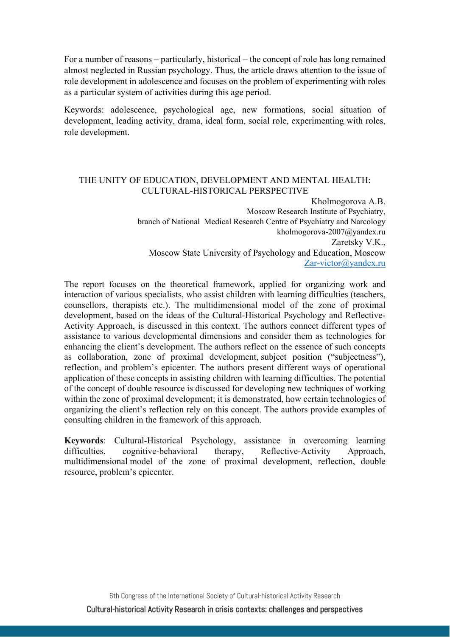For a number of reasons – particularly, historical – the concept of role has long remained almost neglected in Russian psychology. Thus, the article draws attention to the issue of role development in adolescence and focuses on the problem of experimenting with roles as a particular system of activities during this age period.

Keywords: adolescence, psychological age, new formations, social situation of development, leading activity, drama, ideal form, social role, experimenting with roles, role development.

### THE UNITY OF EDUCATION, DEVELOPMENT AND MENTAL HEALTH: CULTURAL-HISTORICAL PERSPECTIVE

Kholmogorova A.B. Moscow Research Institute of Psychiatry, branch of National Medical Research Centre of Psychiatry and Narcology kholmogorova-2007@yandex.ru Zaretsky V.K., Moscow State University of Psychology and Education, Moscow Zar-victor@yandex.ru

The report focuses on the theoretical framework, applied for organizing work and interaction of various specialists, who assist children with learning difficulties (teachers, counsellors, therapists etc.). The multidimensional model of the zone of proximal development, based on the ideas of the Cultural-Historical Psychology and Reflective-Activity Approach, is discussed in this context. The authors connect different types of assistance to various developmental dimensions and consider them as technologies for enhancing the client's development. The authors reflect on the essence of such concepts as collaboration, zone of proximal development, subject position ("subjectness"), reflection, and problem's epicenter. The authors present different ways of operational application of these concepts in assisting children with learning difficulties. The potential of the concept of double resource is discussed for developing new techniques of working within the zone of proximal development; it is demonstrated, how certain technologies of organizing the client's reflection rely on this concept. The authors provide examples of consulting children in the framework of this approach.

**Keywords**: Cultural-Historical Psychology, assistance in overcoming learning difficulties, cognitive-behavioral therapy, Reflective-Activity Approach, multidimensional model of the zone of proximal development, reflection, double resource, problem's epicenter.

6th Congress of the International Society of Cultural-historical Activity Research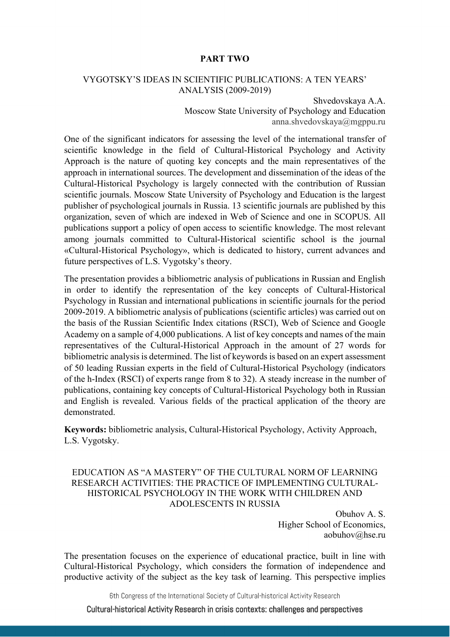### **PART TWO**

### VYGOTSKY'S IDEAS IN SCIENTIFIC PUBLICATIONS: A TEN YEARS' ANALYSIS (2009-2019)

Shvedovskaya A.A. Moscow State University of Psychology and Education anna.shvedovskaya@mgppu.ru

One of the significant indicators for assessing the level of the international transfer of scientific knowledge in the field of Cultural-Historical Psychology and Activity Approach is the nature of quoting key concepts and the main representatives of the approach in international sources. The development and dissemination of the ideas of the Cultural-Historical Psychology is largely connected with the contribution of Russian scientific journals. Moscow State University of Psychology and Education is the largest publisher of psychological journals in Russia. 13 scientific journals are published by this organization, seven of which are indexed in Web of Science and one in SCOPUS. All publications support a policy of open access to scientific knowledge. The most relevant among journals committed to Cultural-Historical scientific school is the journal «Cultural-Historical Psychology», which is dedicated to history, current advances and future perspectives of L.S. Vygotsky's theory.

The presentation provides a bibliometric analysis of publications in Russian and English in order to identify the representation of the key concepts of Cultural-Historical Psychology in Russian and international publications in scientific journals for the period 2009-2019. A bibliometric analysis of publications (scientific articles) was carried out on the basis of the Russian Scientific Index citations (RSCI), Web of Science and Google Academy on a sample of 4,000 publications. A list of key concepts and names of the main representatives of the Cultural-Historical Approach in the amount of 27 words for bibliometric analysis is determined. The list of keywords is based on an expert assessment of 50 leading Russian experts in the field of Cultural-Historical Psychology (indicators of the h-Index (RSCI) of experts range from 8 to 32). A steady increase in the number of publications, containing key concepts of Cultural-Historical Psychology both in Russian and English is revealed. Various fields of the practical application of the theory are demonstrated.

**Keywords:** bibliometric analysis, Cultural-Historical Psychology, Activity Approach, L.S. Vygotsky.

# EDUCATION AS "A MASTERY" OF THE CULTURAL NORM OF LEARNING RESEARCH ACTIVITIES: THE PRACTICE OF IMPLEMENTING CULTURAL-HISTORICAL PSYCHOLOGY IN THE WORK WITH CHILDREN AND ADOLESCENTS IN RUSSIA

Obuhov A. S. Higher School of Economics, aobuhov@hse.ru

The presentation focuses on the experience of educational practice, built in line with Cultural-Historical Psychology, which considers the formation of independence and productive activity of the subject as the key task of learning. This perspective implies

6th Congress of the International Society of Cultural-historical Activity Research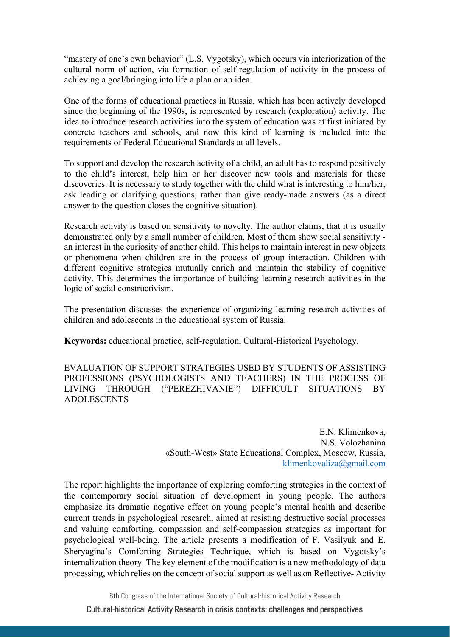"mastery of one's own behavior" (L.S. Vygotsky), which occurs via interiorization of the cultural norm of action, via formation of self-regulation of activity in the process of achieving a goal/bringing into life a plan or an idea.

One of the forms of educational practices in Russia, which has been actively developed since the beginning of the 1990s, is represented by research (exploration) activity. The idea to introduce research activities into the system of education was at first initiated by concrete teachers and schools, and now this kind of learning is included into the requirements of Federal Educational Standards at all levels.

To support and develop the research activity of a child, an adult has to respond positively to the child's interest, help him or her discover new tools and materials for these discoveries. It is necessary to study together with the child what is interesting to him/her, ask leading or clarifying questions, rather than give ready-made answers (as a direct answer to the question closes the cognitive situation).

Research activity is based on sensitivity to novelty. The author claims, that it is usually demonstrated only by a small number of children. Most of them show social sensitivity an interest in the curiosity of another child. This helps to maintain interest in new objects or phenomena when children are in the process of group interaction. Children with different cognitive strategies mutually enrich and maintain the stability of cognitive activity. This determines the importance of building learning research activities in the logic of social constructivism.

The presentation discusses the experience of organizing learning research activities of children and adolescents in the educational system of Russia.

**Keywords:** educational practice, self-regulation, Cultural-Historical Psychology.

EVALUATION OF SUPPORT STRATEGIES USED BY STUDENTS OF ASSISTING PROFESSIONS (PSYCHOLOGISTS AND TEACHERS) IN THE PROCESS OF LIVING THROUGH ("PEREZHIVANIE") DIFFICULT SITUATIONS BY ADOLESCENTS

> E.N. Klimenkova, N.S. Volozhanina «South-West» State Educational Complex, Moscow, Russia, klimenkovaliza@gmail.com

The report highlights the importance of exploring comforting strategies in the context of the contemporary social situation of development in young people. The authors emphasize its dramatic negative effect on young people's mental health and describe current trends in psychological research, aimed at resisting destructive social processes and valuing comforting, compassion and self-compassion strategies as important for psychological well-being. The article presents a modification of F. Vasilyuk and E. Sheryagina's Comforting Strategies Technique, which is based on Vygotsky's internalization theory. The key element of the modification is a new methodology of data processing, which relies on the concept of social support as well as on Reflective- Activity

6th Congress of the International Society of Cultural-historical Activity Research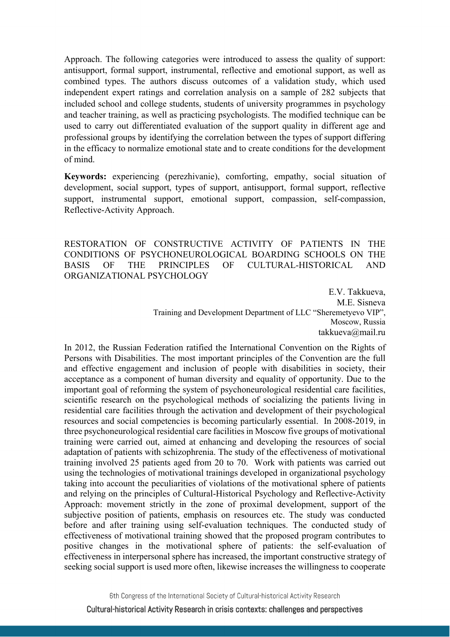Approach. The following categories were introduced to assess the quality of support: antisupport, formal support, instrumental, reflective and emotional support, as well as combined types. The authors discuss outcomes of a validation study, which used independent expert ratings and correlation analysis on a sample of 282 subjects that included school and college students, students of university programmes in psychology and teacher training, as well as practicing psychologists. The modified technique can be used to carry out differentiated evaluation of the support quality in different age and professional groups by identifying the correlation between the types of support differing in the efficacy to normalize emotional state and to create conditions for the development of mind.

**Keywords:** experiencing (perezhivanie), comforting, empathy, social situation of development, social support, types of support, antisupport, formal support, reflective support, instrumental support, emotional support, compassion, self-compassion, Reflective-Activity Approach.

RESTORATION OF CONSTRUCTIVE ACTIVITY OF PATIENTS IN THE CONDITIONS OF PSYCHONEUROLOGICAL BOARDING SCHOOLS ON THE BASIS OF THE PRINCIPLES OF CULTURAL-HISTORICAL AND ORGANIZATIONAL PSYCHOLOGY

> E.V. Takkueva, M.E. Sisneva Training and Development Department of LLC "Sheremetyevo VIP", Moscow, Russia takkueva@mail.ru

In 2012, the Russian Federation ratified the International Convention on the Rights of Persons with Disabilities. The most important principles of the Convention are the full and effective engagement and inclusion of people with disabilities in society, their acceptance as a component of human diversity and equality of opportunity. Due to the important goal of reforming the system of psychoneurological residential care facilities, scientific research on the psychological methods of socializing the patients living in residential care facilities through the activation and development of their psychological resources and social competencies is becoming particularly essential. In 2008-2019, in three psychoneurological residential care facilities in Moscow five groups of motivational training were carried out, aimed at enhancing and developing the resources of social adaptation of patients with schizophrenia. The study of the effectiveness of motivational training involved 25 patients aged from 20 to 70. Work with patients was carried out using the technologies of motivational trainings developed in organizational psychology taking into account the peculiarities of violations of the motivational sphere of patients and relying on the principles of Cultural-Historical Psychology and Reflective-Activity Approach: movement strictly in the zone of proximal development, support of the subjective position of patients, emphasis on resources etc. The study was conducted before and after training using self-evaluation techniques. The conducted study of effectiveness of motivational training showed that the proposed program contributes to positive changes in the motivational sphere of patients: the self-evaluation of effectiveness in interpersonal sphere has increased, the important constructive strategy of seeking social support is used more often, likewise increases the willingness to cooperate

6th Congress of the International Society of Cultural-historical Activity Research